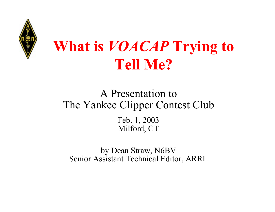

# **What is** *VOACAP* **Trying to Tell Me?**

## A Presentation toThe Yankee Clipper Contest Club

Feb. 1, 2003 Milford, CT

by Dean Straw, N6BV Senior Assistant Technical Editor, ARRL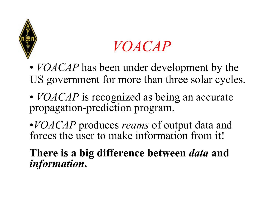

## *VOACAP*

- *VOACAP* has been under development by the US government for more than three solar cycles.
- *VOACAP* is recognized as being an accurate propagation-prediction program.

•*VOACAP* produces *reams* of output data and forces the user to make information from it!

**There is a big difference between** *data* **and** *information***.**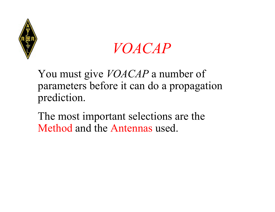



You must give *VOACAP* a number of parameters before it can do a propagation prediction.

The most important selections are the Method and the Antennas used.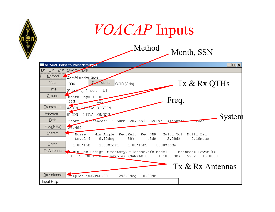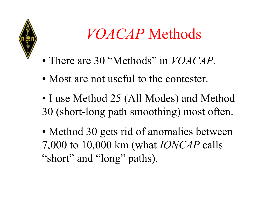

# *VOACAP* Methods

- There are 30 "Methods" in *VOACAP.*
- Most are not useful to the contester.
- I use Method 25 (All Modes) and Method 30 (short-long path smoothing) most often.
- Method 30 gets rid of anomalies between 7,000 to 10,000 km (what *IONCAP* calls "short" and "long" paths).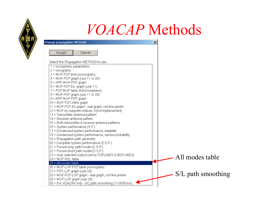

## *VOACAP* Methods

| Change propagation METHOD                              | $\vert x \vert$      |  |
|--------------------------------------------------------|----------------------|--|
| Accept<br>Cancel                                       |                      |  |
|                                                        |                      |  |
| Select the Propagation METHOD to use:                  |                      |  |
| 1 = lonospheric parameters                             |                      |  |
| $2 =$ lonograms                                        |                      |  |
| 3 = MUF-FOT lines (nomogram)                           |                      |  |
| $4 = MUF-FOT graph (use 11 or 28)$                     |                      |  |
| 5 = HPF-MUF-FOT graph                                  |                      |  |
| 6 = MUF-FOT-Es graph (use 11)                          |                      |  |
| 7 = FOT-MUF table (full ionosphere)                    |                      |  |
| 8 = MUF-FOT graph (use 11 or 28)                       |                      |  |
| 9 = HPF-MUF-FOT graph                                  |                      |  |
| 10 = MUF-FOT-ANG graph                                 |                      |  |
| 11 = MUF-FOT-Es graph - real graph, not line printer   |                      |  |
| 12 = MUF by magnetic indices, K(not implemented)       |                      |  |
| 13 = Transmitter antenna pattern                       |                      |  |
| 14 = Receiver antenna pattern                          |                      |  |
| 15 = Both transmitter & receiver antenna patterns      |                      |  |
| 16 = System performance (S.P.)                         |                      |  |
| 17 = Condensed system performance, reliability         |                      |  |
| 18 = Condensed system performance, service probability |                      |  |
| 19 = Propagation path geometry                         |                      |  |
| 20 = Complete system performance (C.S.P.)              |                      |  |
| 21 = Forced long path model (C.S.P.)                   |                      |  |
| 22 = Forced short path model (C.S.P.)                  |                      |  |
| 23 = User selected output (set by TOPLINES & BOTLINES) |                      |  |
| 24 = MUF-REL table                                     | All modes table      |  |
| $25$ = All modes table                                 |                      |  |
| 26 = MUF-LUF-FOT table (nomogram)                      |                      |  |
| 27 = FOT-LUF graph (use 28)                            |                      |  |
| 28 = MUF-FOT-LUF graph - real graph, not line printer  | $S/L$ path smoothing |  |
| 29 = MUF-LUF graph (use 28)                            |                      |  |
| 30 = For VOACAP only - S/L path smoothing (7-10000 km) |                      |  |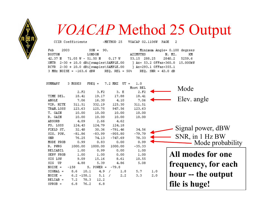

## *VOACAP* Method 25 Output

CCIR Coefficients  $\sim$ METHOD 25 VOACAP 02.1106W PAGE  $\overline{a}$ 

| Feb    | 2003 | $SSN = 90.$                                |                                                              | Minimum Angle= 0.100 degrees    |    |
|--------|------|--------------------------------------------|--------------------------------------------------------------|---------------------------------|----|
| BOSTON |      | LONDON                                     | AZIMUTHS                                                     | N. MI.                          | KМ |
|        |      | $42.37 \text{ N}$ 71.05 W - 51.50 N 0.17 W |                                                              | 53.15 288.25 2840.2 5259.6      |    |
|        |      | $XMTR$ 2-30 + 10.0 dBi[samples\SAMPLE.00   |                                                              | ] Az= 53.2 OFFaz=360.0 15.000kW |    |
|        |      | $RCVR$ $2-30 + 10.0$ dBi[samples\SAMPLE.00 | 1 Az=293.1 OFFaz=355.1                                       |                                 |    |
|        |      |                                            | $3$ MHz NOISE = -163.6 dBW REO. REL = 50% REO. SNR = 43.0 dB |                                 |    |

|                           | $\equiv$<br>1.0  | UT   | 7.2 MHZ   |      | $FREQ =$        |                  | 3 MODES | SUMMARY    |  |
|---------------------------|------------------|------|-----------|------|-----------------|------------------|---------|------------|--|
| Mode                      | Most REL         |      |           |      |                 |                  |         |            |  |
|                           | 2.F <sub>2</sub> | 3. E |           | 3.F2 |                 | 2.F <sub>2</sub> |         |            |  |
|                           | 18.41            |      | 17.88     |      | 19.17           | 18.41            |         | TIME DEL.  |  |
| Elev. angle               | 7.06             | 4.10 |           |      | 16.30           | 7.06             |         | ANGLE      |  |
|                           | 311.51           |      | 125.30    |      | 332.19          | 311.51           |         | VIR. HITE  |  |
|                           | 123.63           |      | 947.56    |      | 125.75          | 123.63           |         | TRAN.LOSS  |  |
|                           | 10.00            |      | 10.00     |      | 10.00           | 10.00            |         | T. GAIN    |  |
|                           | 10.00            |      | 10.00     |      | 10.00           | 10.00            |         | R. GAIN    |  |
|                           |                  | 4.62 |           | 2.66 |                 | 4.09             |         | ABSORB     |  |
|                           |                  |      | 124.18    |      | 124.79          | 124.43           |         | FS. LOSS   |  |
| Signal power, dBW         | 34.56            |      | $-791.46$ |      | 30.36           | 32.48            |         | FIELD ST.  |  |
|                           | $-79.79$         |      | $-905.80$ |      | $-83.99$        | $-81.86$         |         | SIG. POW.  |  |
| SNR, in 1 Hz BW           | 78.33            |      | $-747.69$ |      | 74.13           | 76.25            |         | <b>SNR</b> |  |
| Mode probability          | 0.99             | 0.00 |           | 0.83 |                 | 0.99             |         | MODE PROB  |  |
|                           | $-35.33$         |      | 1000.00   |      | 1000.00         | 1000.00          |         | R. PWRG    |  |
|                           | 1.00             | 0.00 |           | 0.99 |                 | 1.00             |         | RELIABIL   |  |
| All modes for one         | 1.00             | 0.00 |           | 1.00 |                 | 1.00             |         | SERV PROB  |  |
|                           | 10.55            | 8.61 |           |      | 15.16           | 9.09             |         | SIG LOW    |  |
| frequency, for each       | 5.08             | 4.86 |           | 5.39 |                 | 4.88             |         | SIG.<br>UP |  |
|                           |                  |      | $-79.8$   |      | $POWER =$<br>s. |                  | $-158$  | $NOTSE =$  |  |
| 1.0<br>hour -- the output | 5.7              | 1.8  |           | 4.9  | 10.1            |                  | 8.6     | $SICMAL =$ |  |
| 2.0                       | 3.3              | 2.2  | 7         | 5.1  |                 | $6.2 - 158.1$    |         | $NOTSE =$  |  |
|                           |                  |      |           | 12.2 | 78.3            |                  | 7.2     | $RELIAB =$ |  |
| file is huge!             |                  |      |           | 6.8  | 76.2            |                  | 6.8     | $SPROB =$  |  |
|                           |                  |      |           |      |                 |                  |         |            |  |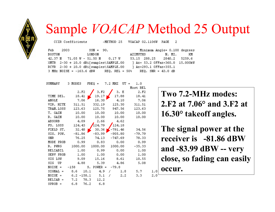

## Sample *VOACAP* Method 25 Output

CCIR Coefficients

 $~\text{/METHOD}$  25

VOACAP 02.1106M PAGE  $\mathcal{D}$ 

> $1.0$  $2.0$

| Feb    | 2003 | $SSN = 90.$                                                  |          |                        | Minimum Angle= 0.100 degrees    |    |
|--------|------|--------------------------------------------------------------|----------|------------------------|---------------------------------|----|
| BOSTON |      | LONDON                                                       | AZIMUTHS |                        | N. MI.                          | KM |
|        |      | $42.37 \text{ N}$ 71.05 W - 51.50 N 0.17 W                   |          |                        | 53.15 288.25 2840.2 5259.6      |    |
|        |      | $XMTR$ 2-30 + 10.0 dBi[samples\SAMPLE.00                     |          |                        | ] Az= 53.2 OFFaz=360.0 15.000kW |    |
|        |      | $RCVR$ $2-30 + 10.0$ dBi[samples\SAMPLE.00                   |          | 1 Az=293.1 OFFaz=355.1 |                                 |    |
|        |      | $3$ MHz NOISE = -163.6 dBW REO. REL = 50% REO. SNR = 43.0 dB |          |                        |                                 |    |

| SUMMARY    | 3 MODES          | $FREQ =$            | 7.2 MHZ<br>$UT =$ | 1.0              |
|------------|------------------|---------------------|-------------------|------------------|
|            |                  |                     |                   | Most REL         |
|            | 2.F <sub>2</sub> | 3.F <sub>2</sub>    | 3. E              | 2.F <sub>2</sub> |
| TIME DEL.  | 18.41            | 19.17               | 17.88             | 18.41            |
| ANGLE      | 7.06             | 16.30               | 4.10              | 7.06             |
| VIR. HITE  | 311.51           | 332.19              | 125.30            | 311.51           |
| TRAN.LOSS  | 123.63           | 125.75              | 947.56            | 123.63           |
| T. GAIN    | 10.00            | 10.00               | 10.00             | 10.00            |
| R. GAIN    | 10.00            | 10.00               | 10.00             | 10.00            |
| ABSORB     | 4.09             | 2.66                | 4.62              |                  |
| FS. LOSS   | 124.43           | 124.79              | 124.18            |                  |
| FIELD ST.  | 32.48            | 30.36               | $-791.46$         | - 34.56          |
| SIG. POW.  | $-81.86$         | -83.99              | $-905.80$         | $-79.79$         |
| SNR        | 76.25            | 74.13               | -747.69           | 78.33            |
| MODE PROB  | 0.99             | 0.83                | 0.00              | 0.99             |
| R. PWRG    | 1000.00          | 1000.00             | 1000.00           | $-35.33$         |
| RELIABIL   | 1.00             | 0.99                | 0.00              | 1.00             |
| SERV PROB  | 1.00             | 1.00                | 0.00              | 1.00             |
| SIG LOW    | 9.09             | 15.16               | 8.61              | 10.55            |
| SIG UP     | 4.88             | 5.39                | 4.86              | 5.08             |
| $NOISE =$  |                  | $-158$ S. POWER =   | $-79.8$           |                  |
| $SICMAL =$ | $8.6$ 10.1       | 4.9                 | 1.8<br>7          | 5.7              |
| $NOTSE =$  |                  | $6.2 - 158.1$ $5.1$ | 2.2<br>7          | 3.3              |
| $RELIAB =$ | 7.2              | 78.3<br>12.2        |                   |                  |
| $SPROB =$  | 6.8              | 76.2<br>6.8         |                   |                  |

**Two 7.2-MHz modes:2.F2 at 7.06° and 3.F2 at16.30° takeoff angles.**

**The signal power at the receiver is -81.86 dBWand -83.99 dBW -- very close, so fading can easily occur.**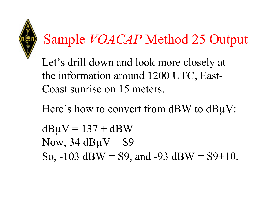

# Sample *VOACAP* Method 25 Output

Let's drill down and look more closely at the information around 1200 UTC, East-Coast sunrise on 15 meters.

Here's how to convert from dBW to dB $\mu$ V:

 $dB\mu V = 137 + dBW$ Now,  $34 dB\mu V = S9$ So,  $-103$  dBW = S9, and  $-93$  dBW = S9+10.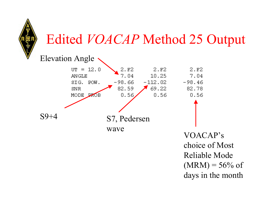

## Edited *VOACAP* Method 25 Output



VOACAP's choice of Most Reliable Mode $(MRM) = 56\% \text{ of}$ days in the month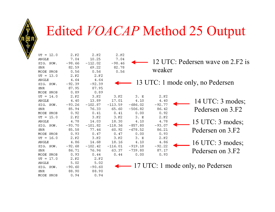

## Edited *VOACAP* Method 25 Output

| $UT = 12.0$<br><b>ANGLE</b> | 2.F <sub>2</sub><br>7.04 | 2.F <sub>2</sub><br>10.25 | 2.F <sub>2</sub><br>7.04 |           |                  | 12 UTC: Pedersen wave on 2.F2 is   |
|-----------------------------|--------------------------|---------------------------|--------------------------|-----------|------------------|------------------------------------|
| SIG. POW.                   | $-98.66$                 | $-112.02$                 | $-98.46$                 |           |                  |                                    |
| SNR                         | 82.59                    | 69.22                     | 82.78                    |           | weaker           |                                    |
| MODE PROB                   | 0.56                     | 0.56                      | 0.56                     |           |                  |                                    |
| $UT = 13.0$                 | 2.F <sub>2</sub>         | 2.F <sub>2</sub>          |                          |           |                  |                                    |
| ANGLE                       | 4.64                     | 4.64                      |                          |           |                  |                                    |
| SIG. POW.                   | $-92.39$                 | $-92.39$                  |                          |           |                  | 13 UTC: 1 mode only, no Pedersen   |
| <b>SNR</b>                  | 87.95                    | 87.95                     |                          |           |                  |                                    |
| MODE PROB                   | 0.89                     | 0.89                      |                          |           |                  |                                    |
| 14.0<br>$UT =$              | 2.F <sub>2</sub>         | 3.F2                      | 3.F2                     | 3. E      | 2.F <sub>2</sub> |                                    |
| ANGLE                       | 4.40                     | 13.89                     | 17.01                    | 4.10      | 4.40             | 14 UTC: 3 modes;                   |
| SIG. POW.                   | $-93.26$                 | $-102.87$                 | $-113.59$                | $-686.02$ | $-92.77$         |                                    |
| <b>SNR</b>                  | 85.94                    | 76.33                     | 65.60                    | $-506.82$ | 86.42            | Pedersen on 3.F2                   |
| MODE PROB                   | 0.92                     | 0.41                      | 0.41                     | 0.00      | 0.92             |                                    |
| $UT = 15.0$                 | 2.F <sub>2</sub>         | 3.F <sub>2</sub>          | 3.F2                     | 3. E      | 2.F <sub>2</sub> |                                    |
| ANGLE                       | 4.78                     | 14.03                     | 18.30                    | 4.10      | 4.78             | 15 UTC: 3 modes;                   |
| SIG. POW.                   | $-93.70$                 | $-101.82$                 | $-118.36$                | $-857.80$ | $-93.07$         |                                    |
| <b>SNR</b>                  | 85.58                    | 77.46                     | 60.92                    | $-678.52$ | 86.21            | Pedersen on 3.F2                   |
| MODE PROB                   | 0.93                     | 0.47                      | 0.47                     | 0.00      | 0.93             |                                    |
| $UT = 16.0$                 | 2.F <sub>2</sub>         | 3.F <sub>2</sub>          | 3.F <sub>2</sub>         | 3.E       | 2.F <sub>2</sub> |                                    |
| ANGLE                       | 4.86                     | 14.68                     | 18.16                    | 4.10      | 4.86             | 16 UTC: 3 modes;                   |
| SIG. POW.                   | $-92.68$                 | $-102.42$                 | $-116.01$                | $-919.18$ | $-92.22$         |                                    |
| SNR                         | 86.71                    | 76.96                     | 63.37                    | $-739.80$ | 87.17            | Pedersen on 3.F2                   |
| MODE PROB                   | 0.93                     | 0.44                      | 0.44                     | 0.00      | 0.93             |                                    |
| 17.0<br>$UT =$              | 2.F <sub>2</sub>         | 2.F <sub>2</sub>          |                          |           |                  |                                    |
| ANGLE                       | 5.02                     | 5.02                      |                          |           |                  |                                    |
| SIG. POW.                   | $-90.60$                 | $-90.60$                  |                          |           |                  | → 17 UTC: 1 mode only, no Pedersen |
| SNR                         | 88.90                    | 88.90                     |                          |           |                  |                                    |
| MODE PROB                   | 0.94                     | 0.94                      |                          |           |                  |                                    |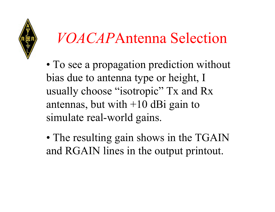

# *VOACAP*Antenna Selection

- To see a propagation prediction without bias due to antenna type or height, I usually choose "isotropic" Tx and Rx antennas, but with  $+10$  dBi gain to simulate real-world gains.
- The resulting gain shows in the TGAIN and RGAIN lines in the output printout.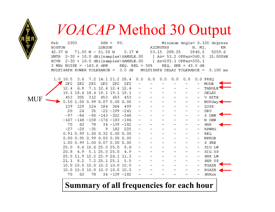

MUF

## *VOACAP* Method 30 Output

| Feb 2003                                                                | $SSN = 90$ . |  | Minimum Angle= 0.100 degrees    |           |
|-------------------------------------------------------------------------|--------------|--|---------------------------------|-----------|
| BOSTON LONDON                                                           |              |  | AZIMUTHS N.MI.                  | <b>KM</b> |
| $42.37 \text{ N}$ 71.05 $\text{W}$ - 51.50 N 0.17 W                     |              |  | 53.15 288.25 2840.2 5259.6      |           |
| XMTR 2-30 + 10.0 dBi[samples\SAMPLE.00                                  |              |  | ] Az= 53.2 OFFaz=360.0 15.000kW |           |
| RCVR 2-30 + 10.0 dBi[samples\SAMPLE.00 ] Az=293.1 OFFaz=355.1           |              |  |                                 |           |
| $3$ MHz NOISE = $-163.6$ dBW REQ. REL = 50% REQ. SNR = 43.0 dB          |              |  |                                 |           |
| MULTIPATH POWER TOLERANCE = 3.0 dB MULTIPATH DELAY TOLERANCE = 0.100 ms |              |  |                                 |           |

 $1.0$  10.5  $3.6$ 7.2 14.1 21.2 28.4  $0.0$  $0.0$  FREO  $0.0$  $0.0$  $0.0$  $0.0$  $2F2$  $2F2$  $2F2$  $2F2$  $2F2$ MODE  $2F2$  $12.4$ 6.8 7.1 12.4 12.4 12.4 TANGLE  $19.1$  $18.4$ 18.4 19.1 19.1  $19.1$ **DELAY** V HITE 453 305 312 453 453 453  $0.50$  $1.00$  0.99 0.07 0.00  $MUFday<$  $0.00$ 139 129 124 184 364  $409$ LOSS 24  $-22 - 199 - 241$  $20$ 35 DBU.  $-84$  $-80 - 143 - 322 - 368$  $-97$ S DBW  $-167 - 148 - 158 - 176 - 183 - 186$ N DBW  $70$ 63 78  $34 - 139 - 182$ **SNR** 225  $-27$  $-20$  $-35$ 9 182 **RPWRG**  $0.91$   $0.99$  1.00 0.32 0.00 0.00 **REL**  $0.00$   $0.95$   $0.99$   $0.00$   $0.00$   $0.00$ MPROB  $1.00$  0.99 1.00 0.07 0.00 0.00 S PRB 8.6 10.6 25.0 25.0  $25.0$  $8.6$ SIG LW  $20.8$ 4.9  $5.125.025.0$ 4.9 SIG UP 12.2 25.9 26.1 11.3  $25.5$  11.9 SNR LW  $8.2$  $7.225.125.1$  $21.1$  $5.5$ SNR UP 10.0 10.0 10.0 10.0 10.0 10.0 TGAIN 10.0 10.0 10.0 10.0 10.0 10.0 RGAIN 70 78  $34 - 139 - 182$ 63 **SNRxx** 

#### **Summary of all frequencies for each hour**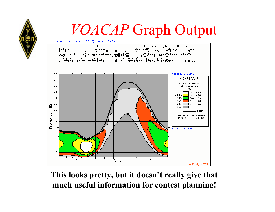## *VOACAP* Graph Output

 $-80$ 

 $\blacksquare$  MUF

*NTIA/ITS* 



 $14$ 

 $10$ 

 $12$ 

Time (UT)

 $(MHZ)$ 

**This looks pretty, but it doesn't really give that much useful information for contest planning!**

 $16$ 

 $18$ 

20

 $22^{\degree}$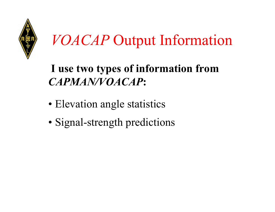

# *VOACAP* Output Information

## **I use two types of information from** *CAPMAN/VOACAP***:**

- Elevation angle statistics
- Signal-strength predictions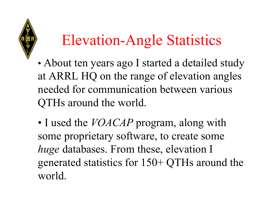

# Elevation-Angle Statistics

- • About ten years ago I started a detailed study at ARRL HQ on the range of elevation angles needed for communication between various QTHs around the world.
- I used the *VOACAP* program, along with some proprietary software, to create some *huge* databases. From these, elevation I generated statistics for 150+ QTHs around the world.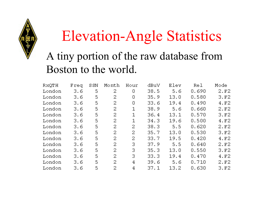

# Elevation-Angle Statistics

## A tiny portion of the raw database from Boston to the world.

| RXQTH  | Freq | S SN | Month | Hour | dBuV | Elev | Rel   | Mode             |
|--------|------|------|-------|------|------|------|-------|------------------|
| London | 3.6  | 5    | 2     | 0    | 38.5 | 5.6  | 0.690 | 2.F2             |
| London | 3.6  | 5    | 2     | 0    | 35.9 | 13.0 | 0.580 | 3.F2             |
| London | 3.6  | 5    | 2     | 0    | 33.6 | 19.4 | 0.490 | 4.F <sub>2</sub> |
| London | 3.6  | 5    | 2     | 1    | 38.9 | 5.6  | 0.660 | 2.F2             |
| London | 3.6  | 5    | 2     | 1    | 36.4 | 13.1 | 0.570 | 3.F2             |
| London | 3.6  | 5    | 2     | 1    | 34.3 | 19.6 | 0.500 | 4.F2             |
| London | 3.6  | 5    | 2     | 2    | 38.3 | 5.5  | 0.620 | 2.F2             |
| London | 3.6  | 5    | 2     | 2    | 35.7 | 13.0 | 0.530 | 3.F2             |
| London | 3.6  | 5    | 2     | 2    | 33.7 | 19.5 | 0.420 | 4.F <sub>2</sub> |
| London | 3.6  | 5    | 2     | з    | 37.9 | 5.5  | 0.640 | 2.F <sub>2</sub> |
| London | 3.6  | 5    | 2     | З    | 35.3 | 13.0 | 0.550 | 3.F2             |
| London | 3.6  | 5    | 2     | з    | 33.3 | 19.4 | 0.470 | 4.F2             |
| London | 3.6  | 5    | 2     | 4    | 39.6 | 5.6  | 0.710 | 2.F2             |
| London | 3.6  | 5    | 2     | 4    | 37.1 | 13.2 | 0.630 | 3.F2             |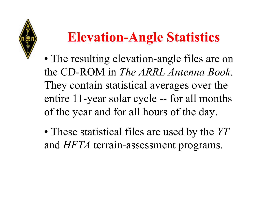

## **Elevation-Angle Statistics**

- The resulting elevation-angle files are on the CD-ROM in *The ARRL Antenna Book.* They contain statistical averages over the entire 11-year solar cycle -- for all months of the year and for all hours of the day.
- These statistical files are used by the *YT* and *HFTA* terrain-assessment programs.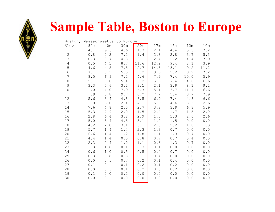

## **Sample Table, Boston to Europe**

|                  | Boston, Massachusetts |       | to Europe   |         |      |         |             |                                                       |
|------------------|-----------------------|-------|-------------|---------|------|---------|-------------|-------------------------------------------------------|
| Elev             | 80m                   | 40m   | 30m         | 20m     | 17m  | 15m     | 12m         | 10m                                                   |
| $1\,$            | 4.1                   | 9.6   | 4.6         | 1.7     | 2.1  | 4.4     | 5.5         | 7.2                                                   |
| $\mathbf 2$      | 0.8                   | 2.3   | 7.2         | 1.4     | 2.8  | 2.8     | 3.7         | 5.3                                                   |
| 3                | 0.3                   | 0.7   | 4.3         | 3.1     | 2.4  | 2.2     | $4.4\,$     | 7.9                                                   |
| $\sqrt{4}$       | $0.5$                 | 4.1   | $\,8$ . $7$ | 11.6    | 12.2 | 9.4     | $\,8$ . $1$ | 3.9                                                   |
| 5                | 4.6                   | 4.8   | $7.5\,$     | 12.7    | 14.3 | 13.1    | 9.2         | 11.2                                                  |
| $\sqrt{6}$       | $7.1\,$               | 8.9   | $5.5$       | 9.2     | 9.6  | 12.2    | 9.2         | 7.2                                                   |
| $\boldsymbol{7}$ | $8.5\,$               | 6.9   | 7.2         | $4.6\,$ | 7.9  | 7.4     | 10.0        | 5.9                                                   |
| $\,8\,$          | 5.1                   | 7.0   | $5.4$       | 3.2     | 5.9  | $7\,.4$ | 4.8         | 6.6                                                   |
| $\mathcal{G}$    | 3.3                   | 5.6   | 3.2         | 3.1     | 2.1  | 3.9     | 8.1         | 9.2                                                   |
| 10               | 1.0                   | 4.0   | 7.9         | 6.3     | 5.1  | 3.7     | 11.1        | 6.6                                                   |
| 11               | 1.9                   | 3.8   | 9.7         | 10.2    | 7.2  | $5.4\,$ | 3.7         | 7.9                                                   |
| 12               | 5.6                   | 3.4   | $4.8\,$     | 8.5     | 6.9  | 7.4     | 4.8         | 6.6                                                   |
| 13               | 11.0                  | 3.0   | 2.4         | 4.1     | 5.9  | 4.6     | 3.3         | 2.6                                                   |
| 14               | 7.6                   | 4.8   | $2.0$       | 2.7     | 3.8  | 3.9     | 6.3         | 5.9                                                   |
| 15               | 5.3                   | 7.9   | 2.0         | 1.5     | 2.4  | 1.7     | 1.5         | $2.0$                                                 |
| 16               | 2.8                   | $6.4$ | 3.8         | 2.9     | 1.5  | 1.3     | 2.6         | 2.6                                                   |
| 17               | $5.0$                 | 3.4   | 4.5         | 3.1     | 1.0  | 1.5     | $0.0$       | $0.0$                                                 |
| 18               | 4.2                   | 2.0   | 3.1         | 3.1     | 2.0  | 2.2     | 1.8         | 1.3                                                   |
| 19               | $5.7$                 | 1.4   | 1.4         | 2.3     | 1.3  | 0.7     | 0.0         | 0.0                                                   |
| 20               | 6.6                   | 1.4   | 1.2         | 1.8     | 1.1  | 1.3     | 0.7         | 0.0                                                   |
| 21               | $4.4$                 | 1.4   | $0.5$       | 0.8     | 0.7  | $0.7$   | $0.4\,$     | $0.0$                                                 |
| 22               | 2.3                   | 2.4   | $1.0$       | 1.1     | 0.6  | 1.3     | $0.7\,$     | 0.0                                                   |
| 23               | 1.3                   | 1.8   | $0.1$       | 0.3     | 0.1  | 0.0     | 0.0         | 0.0                                                   |
| 24               | 0.6                   | 1.0   | $0.5$       | $0.5$   | 0.4  | 0.7     | 0.0         | 0.0                                                   |
| 25               | 0.3                   | 0.8   | 0.3         | 0.1     | 0.4  | 0.0     | 0.0         | 0.0                                                   |
| 26               | 0.0                   | 0.5   | $0.7$       | 0.2     | 0.1  | 0.4     | 0.0         | 0.0                                                   |
| 27               | 0.1                   | 0.1   | 0.1         | 0.2     | 0.1  | 0.2     | 0.0         | $0.0$                                                 |
| 28               | 0.0                   | 0.3   | 0.1         | 0.2     | 0.0  | 0.2     | 0.0         | $\ensuremath{\mathsf{0}}$ . $\ensuremath{\mathsf{0}}$ |
| 29               | 0.1                   | 0.0   | 0.2         | 0.0     | 0.0  | $0.0$   | 0.0         | 0.0                                                   |
| 30               | 0.0                   | 0.1   | 0.0         | 0.0     | 0.0  | $0.0$   | 0.0         | 0.0                                                   |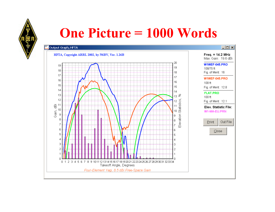

## **One Picture = 1000 Words**

#### Output Graph, HFTA

#### $|I| = |I| \times |I|$

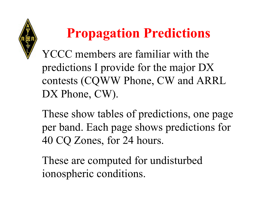

YCCC members are familiar with the predictions I provide for the major DX contests (CQWW Phone, CW and ARRL DX Phone, CW).

These show tables of predictions, one page per band. Each page shows predictions for 40 CQ Zones, for 24 hours.

These are computed for undisturbed ionospheric conditions.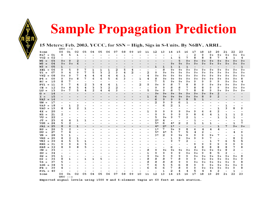## **Sample Propagation Prediction**

#### 15 Meters: Feb. 2003, YCCC, for SSN = High, Sigs in S-Units. By N6BV, ARRL.

|                          | oo                       | 01                | 02           | оз | 04 | os | 06 | 07 | 08 | 0. | 10                       | 11                       | 12   | 13        | 14          | 15                       | 16   |              |      |      | 20                       | 21           | 22           | 23   |
|--------------------------|--------------------------|-------------------|--------------|----|----|----|----|----|----|----|--------------------------|--------------------------|------|-----------|-------------|--------------------------|------|--------------|------|------|--------------------------|--------------|--------------|------|
| Zone                     |                          | 5                 |              |    |    |    |    |    |    |    |                          |                          |      |           |             |                          |      | 17           | 18   | 19   |                          |              |              |      |
| $KL7 = 01$               | 9                        |                   | $\mathbf{1}$ |    |    |    |    |    |    |    |                          |                          |      |           |             |                          | 7    | 2            | 9    | $9+$ | $9+$                     | $9+$         | $9+$         | $9+$ |
| $\sqrt{02} = 02$         | $\overline{\phantom{a}}$ |                   |              |    |    |    |    |    |    |    |                          |                          |      |           | ı           | 5                        |      | 8            | 8    | 8    | 7                        | 4            | $\mathbf{1}$ | 4    |
| 03<br>$W6 =$             | $9+$                     | 9                 |              |    |    |    |    |    |    |    |                          |                          |      |           |             | 5                        | $9+$ | $9+$         | $9+$ | $9+$ | $9+$                     | $9+$         | $9+$         | $9+$ |
| $W0 =$<br>O <sub>4</sub> | $9+$                     | $9+$              | 6            |    |    |    |    |    |    |    |                          |                          |      |           | $9+$        | $9+$                     | $9+$ | $9+$         | $9+$ | $9+$ | $9+$                     | $9+$         | $9+$         | 9+   |
| 05<br>$W3 =$             | ı                        |                   |              |    |    |    |    |    |    |    |                          |                          | ı    | ı         | $\mathbf 1$ | $\mathbf 1$              | ı    |              |      |      |                          |              |              | ı    |
| $XBI = 06$               | 9                        | 5                 | 9            | 7  | ı  | ı  | ı  | 2  | 5  | 4  | $\overline{\phantom{a}}$ | $\overline{\phantom{a}}$ |      | 8         | $9+$        | $9+$                     | 9+   | $9+$         | $9+$ | $9+$ | 9+                       | 9+           | 9+           | 9+   |
| 07<br>$TI =$             | 9                        | 4                 | 9            | 7  | 5  | з  | 2  | з  | 4  | 2  | $\overline{\phantom{a}}$ | 2                        | 9    | $9+$      | 9+          | $9+$                     | 9+   | $9+$         | 9+   | 9+   | $9+$                     | $9+$         | 9+           | 9+   |
| $VP2 = 08$               | $9+$                     | o                 | 7            | 4  | 4  | 4  | 4  | 4  | ı  |    |                          | 4                        | $9+$ | 9+        | 9+          | $9+$                     | 9+   | $9+$         | $9+$ | $9+$ | $9+$                     | $9+$         | $9+$         | 9+   |
| $P4 =$<br>О9             | 9                        | $9+$              | 8            | 7  | 6  | 6  | 5  | 6  | з  |    | ı                        | 4                        | 8    | $9+$      | 9+          | $9+$                     | $9+$ | $9+$         | $9+$ | $9+$ | $9+$                     | $9+$         | $9+$         | 8    |
| $HC =$<br>10             | 8                        | 7                 |              |    |    |    | -  |    |    |    |                          |                          | 7    | 5         | $9+$        | $9+$                     | 9+   | 9            | ۰    | 9    | 9                        | 9+           | $9+$         | 4    |
| $PY1 = 11$               | 9                        | 7                 | 4            | 2  | з  | 4  | 4  | 1  |    |    | 2                        | 9                        | $9+$ | 9         | 8           | 7                        | 8    | 8            | 9    | $9+$ | $9+$                     | $9+$         | $9+$         | 9+   |
| 12<br>$CE =$             | $9+$                     | 8                 | 5            | 4  | з  | з  | 2  | 2  |    |    |                          |                          | 9    | o         | 8           | 8                        | 7    | 8            | 8    | 9    | 9                        | 9+           | $9+$         | 9+   |
| 13<br>LU =               | 9+                       | 7                 | 5            | 4  | 2  | 4  | 4  | з  |    |    |                          | 5                        | 9+   | 9         | 8           | 7                        | 7    | 8            | 8    | ۰    | $9+$                     | $9+$         | $9+$         | 9+   |
| 14<br>$G =$              |                          |                   |              |    |    |    |    |    |    |    |                          |                          | 9+   | 9+        | $9+$        | $9+$                     | 9+   | 9+           | $9+$ | $9+$ | 2                        |              |              |      |
| 15<br>$I =$              |                          |                   |              |    |    |    |    |    |    |    |                          | ı                        | 6    | $9+$      | $9+$        | $9+$                     | $9+$ | $9+$         | 8    | 9    | $\overline{a}$           |              |              |      |
| $\texttt{UA3} = 16$      |                          |                   |              |    |    |    |    |    |    |    |                          | $\overline{\phantom{a}}$ | 6    | 9         | 9           | 9                        | 8    | 5            | ı    | -    |                          |              |              |      |
| 17<br>$UN =$             | -                        | -                 |              |    |    |    |    |    |    |    |                          | $\overline{\phantom{0}}$ | 2    | 9         | 9           | 6                        | ı    |              |      |      |                          |              |              |      |
| $\texttt{UA9} = 18$      | Ξ.                       | ı                 | 2            |    |    |    |    |    |    |    |                          |                          |      | 6         | 2           | ı                        |      |              |      |      |                          | ı            |              |      |
| $\texttt{UA0} = 19$      | 8                        | 6                 | 2            | ı  |    |    |    |    |    |    |                          |                          |      |           |             |                          |      |              |      |      | -<br>ı                   | з            | 8            | 9    |
| 20                       |                          |                   |              |    |    |    |    |    |    |    |                          |                          | 9    | 9         | ۰           | 9                        | 9+   | 9            |      | 6    | 2                        |              |              |      |
| $4x =$                   |                          |                   |              |    |    |    |    |    |    |    |                          | ı                        |      |           |             |                          |      |              | 6    |      |                          |              |              |      |
| 21<br>$HZ =$<br>22       | 2                        |                   |              |    |    |    |    |    |    |    |                          |                          | 9    | 9<br>$9+$ | 9           | 9<br>7                   | 9    | 8            | 6    | 4    | ı                        | ı            | ı            | 2    |
| $VU =$                   |                          |                   |              |    |    |    |    |    |    |    |                          |                          | 5    |           | ۰           |                          | 2    | $\mathbf{1}$ |      |      | ı                        | $\mathbf{1}$ | 1            |      |
| 23<br>$JT =$             | 6                        | 4                 | $\mathbf{1}$ | 1  |    |    |    |    |    |    |                          |                          | 2*   | 4         |             |                          |      | ı            |      |      |                          |              |              | ı    |
| $VSS = 24$               | 5                        | 2                 |              |    |    |    |    |    |    |    |                          |                          | 5*   | 6         | 4∗          | 2                        | 2    | ı            | ı    | 1    | -                        |              | ı            | 7    |
| $JAI = 25$               | 8                        | 6                 | ı            |    |    |    |    |    |    |    |                          |                          | $4*$ | $2*$      | $1*$        | $\overline{\phantom{0}}$ |      |              |      |      | ı                        | 7            | $9+$         | $9+$ |
| 26<br>$_{\rm HS}$ =      | 5                        | $\overline{a}$    |              |    |    |    |    |    |    |    |                          |                          | 1*   | 7         | $9+$        | 9                        | 8    | 6            | 4    | 4    | 4                        |              |              |      |
| 27<br>$DU =$             | 7                        | 4                 |              |    |    |    |    |    |    |    |                          |                          | 5*   | $4*$      | 5           | 7                        | 5    | 4            | 2    | ۰    | $\overline{a}$           |              | 4            | 9    |
| 28<br>YB =               | 5                        | ı                 |              |    |    |    |    |    |    |    |                          |                          | 3∗   | 2         | 9           | $9+$                     | 9    | ٥            | 9    | $9+$ | 7                        |              |              | ı    |
| $VK6 = 29$               | 8                        | 2                 | 1            |    |    |    |    |    |    |    |                          |                          |      |           | ı           | 9                        | $9+$ | 9            | 9    | 7    | $\overline{\phantom{0}}$ |              | 8            | ۰    |
| $VK3 = 30$               | 4                        | 5                 | з            | ı  |    |    |    |    |    |    |                          |                          |      |           | ۰           | 7                        | 2    |              |      | 1    | 7                        | 6            | 5            | 5    |
| $KHS = 31$               | 9                        | 9                 | 6            | з  |    |    |    |    |    |    |                          |                          |      |           |             |                          |      | ٥            | 9    | 9    | 9                        | 9            | 9            |      |
| $KHS = 32$               | 8                        | o                 | 8            | 5  |    |    |    |    |    |    |                          |                          |      |           | 6           | -                        |      | 4            | 8    | 8    | 8                        | 8            | 7            |      |
| 33<br>$CN =$             |                          |                   |              |    |    |    |    |    |    |    |                          | 8                        | 9    | $9+$      | $9+$        | $9+$                     | 9+   | 9+           | 9+   | $9+$ | $9+$                     | 8            | 2            |      |
| 34<br>$SU =$             |                          |                   |              |    |    |    |    |    |    |    |                          | ı                        | 9    | 9         | ۰           | 9                        | $9+$ | $9+$         | 9    | 8    | 5                        | 2            |              |      |
| 35<br>6W =               | ı                        |                   |              |    |    |    |    |    |    |    |                          | o                        | 9+   | 9         | ٥           | 9                        | ۰    | $9+$         | 9+   | $9+$ | $9+$                     | $9+$         | $9+$         | 8    |
| $D2 =$<br>36             | 8                        | ı                 |              | ı  | ı  | 5  |    |    |    |    |                          | 8                        | 8    | 8         | 7           | 8                        | 9    | 9            | $9+$ | 9+   | $9+$                     | $9+$         | $9+$         | Q    |
| $5Z =$<br>37             | 5                        |                   |              |    |    |    |    |    |    |    |                          | 8                        | 8    | 8         | 8           | 9                        | 9    | $9+$         | $9+$ | $9+$ | $9+$                     | $9+$         | 9            |      |
| $2S6 = 38$               | з                        |                   |              |    |    |    |    |    |    |    |                          | 7                        | 6    | 5         | 5           | 6                        | 8    | 9            | 9    | $9+$ | $9+$                     | 9+           | $9+$         | 9    |
| $\mathbf{FR}$ =<br>39    | 4                        |                   |              |    |    |    |    |    |    |    |                          | 6                        | 6    | 6         | 7           | 8                        | 9    | 9            | $9+$ | $9+$ | $9+$                     | $9+$         | 9            |      |
| $FJL = 40$               |                          |                   |              |    |    |    |    |    |    |    |                          |                          |      | ı         | 2           | 4                        | 4    | 5            | 4    | 4    | 2                        |              | ı            |      |
| Zone                     | oo                       | 01                | 02           | oз | 04 | 05 | 06 | 07 | 08 | 09 | 10                       | 11                       | 12   | 13        | 14          | 15                       | 16   | 17           | 18   | 19   | 20                       | 21           | 22           | 23   |
|                          |                          | $UTC \rightarrow$ |              |    |    |    |    |    |    |    |                          |                          |      |           |             |                          |      |              |      |      |                          |              |              |      |
|                          |                          |                   |              |    |    |    |    |    |    |    |                          |                          |      |           |             |                          |      |              |      |      |                          |              |              |      |

Expected signal levels using 1500 W and 4-element Yagis at 60 feet at each station.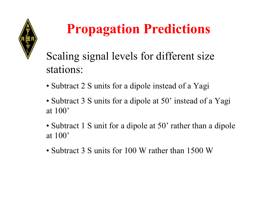

## Scaling signal levels for different size stations:

- Subtract 2 S units for a dipole instead of a Yagi
- Subtract 3 S units for a dipole at 50' instead of a Yagi at 100'
- Subtract 1 S unit for a dipole at 50' rather than a dipole at 100'
- Subtract 3 S units for 100 W rather than 1500 W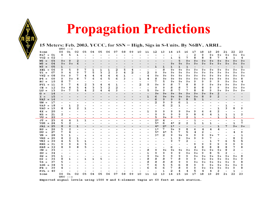#### 15 Meters: Feb. 2003, YCCC, for SSN = High, Sigs in S-Units. By N6BV, ARRL.  $T^{\text{min}}$  $\alpha$  =

|                          | oo.                      |                   |                          |    |    |                             |     | 07 |    |    |    |    |              |      |                                                         |      |              |      |      |                          |                          |                          |                          | 23           |
|--------------------------|--------------------------|-------------------|--------------------------|----|----|-----------------------------|-----|----|----|----|----|----|--------------|------|---------------------------------------------------------|------|--------------|------|------|--------------------------|--------------------------|--------------------------|--------------------------|--------------|
| Zone                     |                          | 01                | 02                       | оз | 04 | 05                          | О6  |    | 08 | 09 | 10 | 11 | 12           | 13   | 14                                                      | 15   | 16           | 17   | 18   | 19                       | 20                       | 21                       | 22                       |              |
| $KL7 = 01$               | 9                        | 5                 | ı                        |    |    |                             |     |    |    |    |    |    |              |      |                                                         |      | -            | 2    | 9    | $9+$                     | $9+$                     | $9+$                     | $9+$                     | $9+$         |
| $\texttt{vo2 = 02}$      | $\overline{\phantom{a}}$ |                   |                          |    |    |                             |     |    |    |    |    |    |              |      | $\mathbf{1}$                                            | 5    | 7            | 8    | 8    | 8                        | 7                        | 4                        | 1                        | 4            |
| $W6 =$<br>O <sub>3</sub> | $9+$                     | 9                 | 2                        |    |    |                             |     |    |    |    |    |    |              |      |                                                         | 5    | $9+$         | $9+$ | $9+$ | $9+$                     | $9+$                     | $9+$                     | $9+$                     | $9+$         |
| $W0 =$<br>04             | $9+$                     | $9+$              | 6                        |    |    |                             |     |    |    |    |    |    |              |      | $9+$                                                    | $9+$ | $9+$         | $9+$ | $9+$ | $9+$                     | $9+$                     | $9+$                     | $9+$                     | $9+$         |
| $W3 =$<br>05             | ı                        |                   |                          |    |    |                             |     |    |    |    |    |    | $\mathbf{1}$ | ı    | ı                                                       | ı    | $\mathbf{1}$ |      |      |                          |                          |                          |                          | $\mathbf{1}$ |
| $XE1 = 06$               | 9                        | 5                 | 9                        | 7  | ı  | ı                           | ı   | 2  | 5  | 4  |    |    |              | 8    | $9+$                                                    | $9+$ | 9+           | $9+$ | $9+$ | $9+$                     | $9+$                     | $9+$                     | $9+$                     | 9+           |
| $TI =$<br>07             | 9                        | 4                 | 9                        | 7  | 5  | з                           | 2   | з  | 4  | 2  |    | 2  | 9            | $9+$ | $9+$                                                    | $9+$ | 9+           | $9+$ | 9+   | $9+$                     | $9+$                     | $9+$                     | $9+$                     | 9+           |
| $VP2 = 08$               | 9+                       | 9                 | 7                        | 4  | 4  | 4                           | 4   | 4  | ı  |    |    | 4  | $9+$         | $9+$ | 9+                                                      | $9+$ | $9+$         | $9+$ | $9+$ | $9+$                     | $9+$                     | $9+$                     | $9+$                     | $9+$         |
| $P4 =$<br>09             | 9                        | $9+$              | 8                        | 7  | 6  | 6                           | 5   | 6  | з  |    | ı  | 4  | 8            | $9+$ | $9+$                                                    | $9+$ | 9+           | 9+   | $9+$ | $9+$                     | $9+$                     | 9+                       | $9+$                     | 8            |
| $HC =$<br>10             | 8                        | 7                 |                          |    |    |                             |     |    |    |    |    |    |              | 5    | $9+$                                                    | $9+$ | 9+           | 9    | 9    | 9                        | 9                        | 9+                       | $9+$                     | 4            |
| $PY1 = 11$               | 9                        | 7                 | 4                        | 2  | з  | 4                           | 4   | ı  |    |    | 2  | 9  | 9+           | ۰    | 8                                                       | 7    | 8            | 8    | 9    | $9+$                     | $9+$                     | 9+                       | $9+$                     | 9+           |
| 12<br>$CE =$             | $9+$                     | 8                 | 5                        | 4  | з  | з                           | 2   | 2  |    |    |    |    | 9            | 9    | 8                                                       | 8    | 7            | 8    | 8    | 9                        | 9                        | 9+                       | $9+$                     | $9+$         |
| 13<br>LU =               | $9+$                     | 7                 | 5                        | 4  | 2  | 4                           | 4   | з  |    |    |    | 5  | $9+$         | o    | 8                                                       | 7    | 7            | 8    | 8    | 9                        | $9+$                     | $9+$                     | $9+$                     | 9+           |
| 14<br>$G =$              |                          |                   |                          |    |    |                             |     |    |    |    |    |    | $9+$         | $9+$ | $9+$                                                    | $9+$ | $9+$         | $9+$ | $9+$ | $9+$                     | 2                        |                          |                          |              |
| 15<br>$I =$              | -                        |                   |                          |    |    |                             |     |    |    |    |    | ı  | 6            | $9+$ | $9+$                                                    | $9+$ | $9+$         | $9+$ | 8    | 9.                       | 2                        |                          |                          |              |
| $\texttt{UA3} = 16$      | -                        |                   |                          |    |    |                             |     |    |    |    |    |    | 6            | 9    | 9                                                       | 9    | 8            | 5    | ı    | -                        |                          |                          |                          |              |
| $UN =$<br>17             | $\overline{\phantom{a}}$ |                   | $\overline{\phantom{0}}$ |    |    |                             |     |    |    |    |    |    | 2            | 9    | 9                                                       | 6    | ı            |      |      |                          |                          | -                        |                          |              |
| $\texttt{UA9} = 18$      | $\overline{\phantom{a}}$ | ı                 | 2                        |    |    |                             |     |    |    |    |    |    |              | 6    | 2                                                       | ı    |              |      |      |                          |                          | ı                        |                          |              |
| $\texttt{UA0} = 19$      | 8                        | 6                 | 2                        | ı  |    |                             |     |    |    |    |    |    |              |      |                                                         |      |              |      |      |                          | 1                        | з                        | 8                        | 9            |
| 20<br>$4x =$             | -                        |                   |                          |    |    |                             |     |    |    |    |    | 1. | 9            | 9    | 9                                                       | 9    | 9+           | 9    | 6    | 6                        | 2                        | ۰                        |                          |              |
| 21<br>$HZ =$             | 2                        |                   |                          |    |    |                             |     |    |    |    |    |    | 9            | 9    | 9                                                       | ٥    | 9            | 8    | 6    | 4                        | ı                        | ı                        | ı                        | 2            |
| 22<br>VU =               | $\overline{\phantom{a}}$ |                   |                          |    |    |                             |     |    |    |    |    |    | 5            | $9+$ | 9                                                       | 7    | 2            | п.   |      | $\overline{\phantom{0}}$ | 1                        | ı                        | 1                        |              |
| 23<br>$JT =$             | 6                        | 4                 | ı                        | ı  |    |                             |     |    |    |    |    |    | 2*           | 4    |                                                         |      | Ξ.           | ı    | -    | -                        |                          | -                        | $\overline{\phantom{a}}$ | ı            |
| $VSS = 24$               | 5                        | 2                 | -                        |    |    |                             |     |    |    |    |    |    | 5*           | 6    | 4*                                                      | 2    | 2            | 1    | ı    | ı                        | $\overline{\phantom{a}}$ | $\overline{\phantom{0}}$ | ı                        | 7            |
| $JAI = 25$               | 8                        | 6                 | ı                        |    |    |                             |     |    |    |    |    |    | $4*$         | $2*$ | $1*$                                                    |      |              | -    |      | -                        | ı                        | 7                        | $9+$                     | $9+$         |
| 26<br>$HS =$             | 5                        | 2                 |                          |    |    |                             |     |    |    |    |    |    | $1*$         | 7    | $9+$                                                    | 9    | 8            | 6    | 4    | 4                        | 4                        |                          |                          |              |
| 27<br>$DU =$             | 7                        | 4                 |                          |    |    |                             |     |    |    |    |    |    | 5*           | $4*$ | 5                                                       | 7    | 5            | 4    | 2    | -                        |                          |                          | 4                        | 9            |
| 28<br>$YB =$             | 5                        | ı                 | -                        |    |    |                             |     |    |    |    |    |    | 3∗           | 2    | 9                                                       | $9+$ | 9            | 9    | 9    | $9+$                     | 7                        | $\overline{\phantom{a}}$ |                          | ı            |
| $VK6 = 29$               | 8                        | 2                 | ı                        |    |    |                             |     |    |    |    |    |    |              |      | ı                                                       | 9    | $9+$         | 9    | ۰    | 7                        |                          | ۰                        | 8                        | ۰            |
| $VK3 = 30$               | 4                        | 5                 | з                        | 1  |    |                             |     |    |    |    |    |    |              |      | 9                                                       | 7    | 2            | ۰    |      | 1                        | 7                        | 6                        | 5                        | 5            |
| $KHS = 31$               | 9                        | ۰                 | 6                        | з  |    |                             |     |    |    |    |    |    |              |      |                                                         |      |              | 9    | 9    | 9                        | 9                        | 9                        | 9                        |              |
| $KHS = 32$               | 8                        | ۰                 | 8                        | 5  |    |                             |     |    |    |    |    |    |              |      | 6                                                       |      |              | 4    | 8    | 8                        | 8                        | 8                        | 7                        |              |
| $CN = 33$                | $\overline{\phantom{0}}$ |                   |                          |    |    |                             |     |    |    |    |    | 8  | 9            | $9+$ | $9+$                                                    | $9+$ | $9+$         | $9+$ | $9+$ | $9+$                     | $9+$                     | 8                        | 2                        |              |
| 34<br>$SU =$             | $\overline{\phantom{a}}$ |                   |                          |    |    |                             |     |    |    |    |    | ı  | ۰            | 9    | 9                                                       | 9    | 9+           | $9+$ | 9    | 8                        | 5                        | 2                        |                          |              |
| 35<br>6w =               | ı                        |                   |                          |    |    |                             |     |    |    |    |    | 9  | 9+           | 9    | 9                                                       | 9    | 9            | $9+$ | $9+$ | $9+$                     | $9+$                     | $9+$                     | 9+                       | 8            |
| 36<br>$D2 =$             | 8                        | ı                 |                          | ı  | ı  | 5                           |     |    |    |    |    | 8  | 8            | 8    | 7                                                       | 8    | 9            | 9    | $9+$ | 9+                       | $9+$                     | 9+                       | $9+$                     | 9            |
| $5Z =$<br>37             | 5                        |                   |                          |    |    |                             |     |    |    |    |    | 8  | 8            | 8    | 8                                                       | ٥    | 9            | $9+$ | $9+$ | $9+$                     | $9+$                     | $9+$                     | 9                        | 8            |
| $2S6 = 38$               | з                        |                   |                          |    |    |                             |     |    |    |    |    | 7  | 6            | 5    | 5                                                       | 6    | 8            | 9    | 9    | 9+                       | 9+                       | 9+                       | 9+                       | 9            |
| $FR = 39$                | 4                        |                   |                          |    |    |                             |     |    |    |    |    | 6  | 6            | 6    | 7                                                       | 8    | 9            | 9    | 9+   | $9+$                     | 9+                       | 9+                       | 9                        | 8            |
| $FJL = 40$               |                          |                   |                          |    |    |                             |     |    |    |    |    |    |              | ı    | 2                                                       | 4    | 4            | 5    | 4    | 4                        | 2                        |                          | 1                        |              |
| Zone                     | oo                       | 01                | 02                       | оз | 04 | 05                          | о 6 | 07 | 08 | 09 | 10 | 11 | 12           | 13   | 14                                                      | 15   | 16           | 17   | 18   | 19                       | 20                       | 21                       | 22                       | 23           |
|                          |                          | $UTC \rightarrow$ |                          |    |    |                             |     |    |    |    |    |    |              |      |                                                         |      |              |      |      |                          |                          |                          |                          |              |
|                          | .                        |                   |                          | .  |    | $\sim$ $\sim$ $\sim$ $\sim$ |     |    |    |    |    |    |              |      | $\cdot$ $\cdot$ $\cdot$ $\cdot$ $\cdot$ $\cdot$ $\cdot$ |      |              |      |      |                          |                          |                          |                          |              |

Expected signal levels using 1500 W and 4-element Yagis at 60 feet at each station.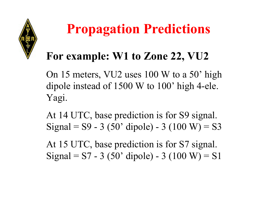

## **For example: W1 to Zone 22, VU2**

On 15 meters, VU2 uses 100 W to a 50' high dipole instead of 1500 W to 100' high 4-ele. Yagi.

At 14 UTC, base prediction is for S9 signal. Signal =  $S9 - 3$  (50' dipole) - 3 (100 W) = S3

At 15 UTC, base prediction is for S7 signal. Signal =  $S7 - 3$  (50' dipole) - 3 (100 W) = S1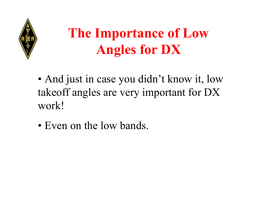

## **The Importance of Low Angles for DX**

- And just in case you didn't know it, low takeoff angles are very important for DX work!
- Even on the low bands.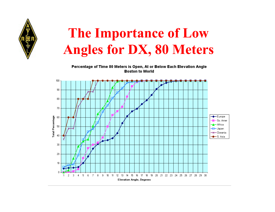

## **The Importance of Low Angles for DX, 80 Meters**

Percentage of Time 80 Meters is Open, At or Below Each Elevation Angle **Boston to World** 

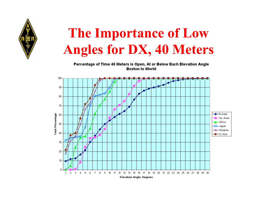

## **The Importance of Low Angles for DX, 40 Meters**

Percentage of Time 40 Meters is Open, At or Below Each Elevation Angle **Boston to World** 

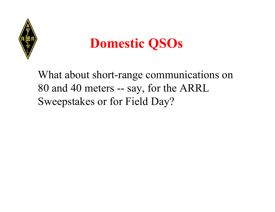

## **Domestic QSOs**

What about short-range communications on 80 and 40 meters -- say, for the ARRL Sweepstakes or for Field Day?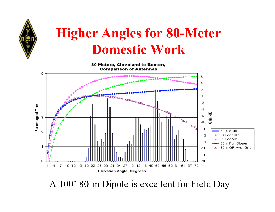

## **Higher Angles for 80-Meter Domestic Work**

80 Meters. Cleveland to Boston. **Comparison of Antennas** 



A 100' 80-m Dipole is excellent for Field Day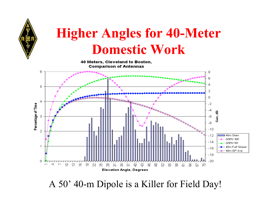

## **Higher Angles for 40-Meter Domestic Work**

40 Meters, Cleveland to Boston. **Comparison of Antennas** 



A 50' 40-m Dipole is a Killer for Field Day!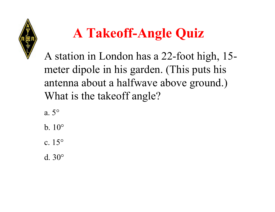

# **A Takeoff-Angle Quiz**

A station in London has a 22-foot high, 15 meter dipole in his garden. (This puts his antenna about a halfwave above ground.) What is the takeoff angle?

a. 5°

b. 10°

c. 15°

d. 30°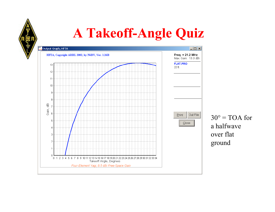## **A Takeoff-Angle Quiz**



30° = TOA for a halfwave over flat ground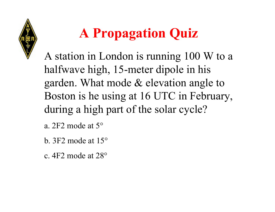

# **A Propagation Quiz**

A station in London is running 100 W to a halfwave high, 15-meter dipole in his garden. What mode & elevation angle to Boston is he using at 16 UTC in February, during a high part of the solar cycle?

a. 2F2 mode at 5°

- b. 3F2 mode at 15°
- c. 4F2 mode at 28°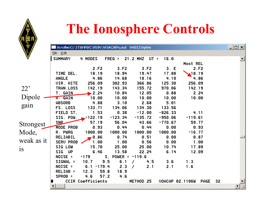

## **The Ionosphere Controls**

|            |                        | Scrollw:C:\ITSHFBC\RUN\VOACAPx.out 94015 bytes |                     |                       |                        |                   |    | $\lfloor \square \square \rfloor$ |
|------------|------------------------|------------------------------------------------|---------------------|-----------------------|------------------------|-------------------|----|-----------------------------------|
|            | File Edit              |                                                |                     |                       |                        |                   |    |                                   |
|            | <b>SUMMARY</b>         | 4 MODES                                        | $FREQ =$            | 21.2 MHZ UT =         | 16.0                   |                   |    |                                   |
|            |                        |                                                |                     |                       |                        | Most REL          |    |                                   |
|            |                        | 2.F2                                           | 3.F2                | 3.F2                  | 3. E                   | 2.F2              |    |                                   |
|            | TIME DEL.              | 18.19                                          | 18.94               | 19.47                 | 17.88                  | $\triangle$ 18.19 |    |                                   |
|            | ANGLE                  | 4.86                                           | 14.68               | 18.16                 | 4.10                   | 4.86              |    |                                   |
|            | <b>UIR. HITE</b>       | 256.09                                         | 302.93              | 366.86                | 125.30                 | 256.09            |    |                                   |
| 22'        | TRAN.LOSS              | 142.19                                         | 143.34              | 155.72                | 970.06                 | 142.19            |    |                                   |
|            | T. GAIN                | 2.24                                           | 10.84               | 12.05                 | 0.88                   | 2.24              |    |                                   |
| Dipole     | R. GAIN                | 10.00                                          | 10.00               | 10.00                 | 10.00                  | 10.00             |    |                                   |
| gain       | <b>ABSORB</b>          | 4.88                                           | 3.10                | 2.68                  | 5.01                   |                   |    |                                   |
|            | FS. LOSS               | 133.71                                         | 134.06              | 134.30                | 133.56                 |                   |    |                                   |
|            | FIELD ST.              | 1.53                                           | 0.38                | $-12.00$              | $-826.33$              | 4.11              |    |                                   |
|            | SIG. POW.              | $-122.19$                                      | $-123.34$           | $-135.72$             | $-950.06$              | $-119.61$         |    |                                   |
| Strongest  | <b>SNB</b>             | 57.19                                          | 56.04               | 43.66                 | $-770.67$              | 59.77             |    |                                   |
|            | MODE PROB              | 0.93                                           | 0.44                | 0.44                  | 0.00                   | 0.93              |    |                                   |
| Mode,      | R. PWRG                | 1000.00                                        | 1000.00             | 1000.00               | 1000.00                | $-16.77$          |    |                                   |
| weak as it | RELIABIL               | 0.86                                           | 0.74                | 0.51                  | 0.00                   | 0.87              |    |                                   |
|            | SERU PROB              | 1.00                                           | 1.00                | 0.56                  | 0.00                   | 1.00              |    |                                   |
| is         | <b>SIG LOW</b>         | 15.70                                          | 25.00               | 25.00                 | 10.74                  | 17.89             |    |                                   |
|            | SIG.<br>UP             | 6.46                                           | 13.58               | 22.24                 | 6.14                   | 12.09             |    |                                   |
|            | NOISE =                | $-179$                                         | S. POWER = $-119.6$ |                       |                        |                   |    |                                   |
|            | SIGNAL =               | 10.7                                           | 9.5<br>6.1          | 4.5                   | 3.6                    | 1.3               |    |                                   |
|            | NOISE =                | $6.1 - 179.4$                                  | 2.3                 | 2.1<br>$\overline{1}$ | 2.1                    | 1.6               |    |                                   |
|            | RELIAB =               | 12.3                                           | 59.8<br>18.9        |                       |                        |                   |    |                                   |
|            | SPROB =                | 4.6                                            | 57.2<br>4.6         |                       |                        |                   |    |                                   |
|            |                        | CCIR Coefficients                              |                     | METHOD 25             | <b>UOACAP 02.1106W</b> | PAGE              | 32 |                                   |
|            | $\left  \cdot \right $ |                                                |                     |                       |                        |                   |    |                                   |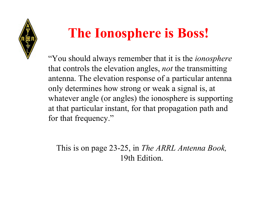

## **The Ionosphere is Boss!**

"You should always remember that it is the *ionosphere* that controls the elevation angles, *not* the transmitting antenna. The elevation response of a particular antenna only determines how strong or weak a signal is, at whatever angle (or angles) the ionosphere is supporting at that particular instant, for that propagation path and for that frequency."

This is on page 23-25, in *The ARRL Antenna Book,* 19th Edition.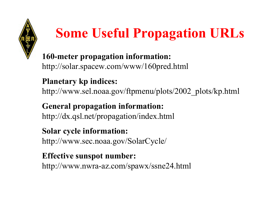

**160-meter propagation information:** http://solar.spacew.com/www/160pred.html

### **Planetary kp indices:**

http://www.sel.noaa.gov/ftpmenu/plots/2002\_plots/kp.html

#### **General propagation information:** http://dx.qsl.net/propagation/index.html

### **Solar cycle information:**

http://www.sec.noaa.gov/SolarCycle/

### **Effective sunspot number:**

http://www.nwra-az.com/spawx/ssne24.html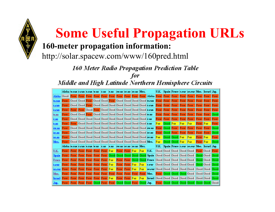#### **160-meter propagation information:**

http://solar.spacew.com/www/160pred.html

160 Meter Radio Propagation Prediction Table for

Middle and High Latitude Northern Hemisphere Circuits

|              | Alska  w.can  c.can  e.can  w.us  c.us                       |                                      |           |                                 | le .us | lsw.us  sc.us  se.us  Mex.                                          |  |      |                                                         | U.K.           |                            |                |                  | Spain  Frnce  c.eur  se.eur  Mos.  Israel  Jap. |           |                     |      |
|--------------|--------------------------------------------------------------|--------------------------------------|-----------|---------------------------------|--------|---------------------------------------------------------------------|--|------|---------------------------------------------------------|----------------|----------------------------|----------------|------------------|-------------------------------------------------|-----------|---------------------|------|
| Alska        | Good                                                         | Poor Poor Poor                       |           |                                 |        |                                                                     |  |      | Poor Poor Poor Poor Poor Poor Poor Alska Poor Poor Poor |                |                            |                | <b>Poor Poor</b> |                                                 | Poor.     | Poor Poor           |      |
| <b>w.can</b> | Poor Good Good Poor Good Good Poor Good Good Good Good w.can |                                      |           |                                 |        |                                                                     |  |      |                                                         |                | Poor Poor Poor             |                | Poor.            | Poor.                                           | Poor      | Poor Poor           |      |
| c.can        | Poor                                                         |                                      |           |                                 |        |                                                                     |  |      |                                                         |                | Poor Poor Poor             |                | Poor             | Poor                                            | Poor.     | $Proof$             | Poor |
| e.can        |                                                              |                                      |           |                                 |        | <b>Poor Poor Good Poor Good Good Good Good Good Good Good e.can</b> |  |      |                                                         |                | Poor Poor Poor Poor Poor   |                |                  |                                                 | l Poor    | Poor.               | Poor |
| w.us         | Poor                                                         |                                      |           |                                 |        |                                                                     |  |      |                                                         |                |                            |                |                  | Poor Poor Poor Poor Poor Poor Poor              |           |                     | Good |
| c.us         | Poor:                                                        |                                      |           |                                 |        |                                                                     |  |      |                                                         | Poor           | <b>Poor Poor Poor Poor</b> |                |                  |                                                 | Poor Poor |                     | Poor |
| e.us         | Poor                                                         |                                      |           |                                 |        |                                                                     |  |      |                                                         | Fair           | Good Fair                  |                | $\mathbf{F}$ air | Fair                                            | Poor      | IFair               | Poor |
| SW.US        | Poor                                                         |                                      |           |                                 |        |                                                                     |  |      |                                                         | Poor.          | Good Poor                  |                | Poor Poor        |                                                 | Poor      | Poor.               | Good |
| sc.us        | Poor                                                         |                                      |           |                                 |        |                                                                     |  |      |                                                         | Poor           | Good Poor Poor Poor        |                |                  |                                                 | Poor.     | Poor.               | Good |
| se.us        | Poor                                                         |                                      |           |                                 |        |                                                                     |  |      |                                                         | $_{\rm{Fair}}$ |                            | Good Good Fair |                  | Fair                                            | Poor      | $\blacksquare$ Fair | Poor |
| Mex.         |                                                              |                                      |           |                                 |        |                                                                     |  |      |                                                         | Fair           | Good Good Fair             |                |                  | Fair                                            | Poor.     | $ $ Fair            | Good |
|              | Alska  w.can  c.can  e.can  w.us  c.us                       |                                      |           |                                 | e.us   | $\ $ sw.us $\ $ sc.us $\ $ se.us $\ $ Mex.                          |  |      |                                                         | U.K.           |                            |                |                  | Spain  Frnce  c.eur  se.eur  Mos.  Israel  Jap. |           |                     |      |
| U.K.         | Poor.                                                        | <b>Poor Poor Poor Poor Poor Fair</b> |           |                                 |        | Poor Poor Fair                                                      |  | Fair | UK.                                                     |                |                            |                |                  | Good Good Good Good Good Poor Good Poor         |           |                     |      |
| Spain        | Poor                                                         |                                      |           |                                 |        |                                                                     |  |      |                                                         |                |                            |                |                  |                                                 |           |                     |      |
| Frnce        | Poor                                                         | Poor Poor Poor Poor Poor Fair        |           |                                 |        |                                                                     |  |      | Poor Poor Good Good Frnce Good Good Good Good Good Good |                |                            |                |                  |                                                 |           | Good Good Good      |      |
|              | Poor.                                                        | <b>Poor Poor Poor Poor Poor Fair</b> |           |                                 |        | Poor Poor Fair                                                      |  | Fair | $ {\bf c}$ .eur                                         |                |                            |                |                  | Good Good Good Good Good                        |           | Good Good Good      |      |
| se .eur      | Poor                                                         | Poor                                 |           | <b>Poor Poor Poor Poor Fair</b> |        | Poor Poor Fair                                                      |  | Fair | se.eur Good Good Good Good Good Good                    |                |                            |                |                  |                                                 |           | Good Good Good      |      |
| Mos.         | Poor                                                         | Poor                                 | Poor Poor |                                 |        |                                                                     |  |      | <b>Poor Poor Poor Poor Poor Poor Poor Mos.</b>          |                |                            |                |                  | Poor Good Good Good Good                        |           | Good Good           | Good |
| Israel       | Poor                                                         | Poor                                 |           | <b>Poor Poor Poor Poor Fair</b> |        | Poor Poor Fair                                                      |  | Fair | <b>Israel</b> Good Good Good Good Good                  |                |                            |                |                  |                                                 |           | Good Good           | Good |
| Jар.         | Poor                                                         |                                      |           |                                 |        | Poor Poor Poor Good Poor Poor Good Good Poor Good Jap.              |  |      |                                                         |                |                            |                |                  | Poor Good Good Good Good Good Good Good         |           |                     |      |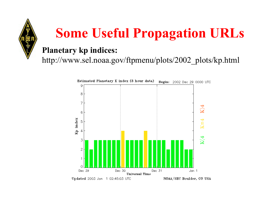#### **Planetary kp indices:**

http://www.sel.noaa.gov/ftpmenu/plots/2002\_plots/kp.html

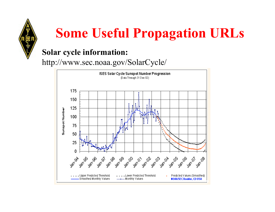

### **Solar cycle information:**

http://www.sec.noaa.gov/SolarCycle/